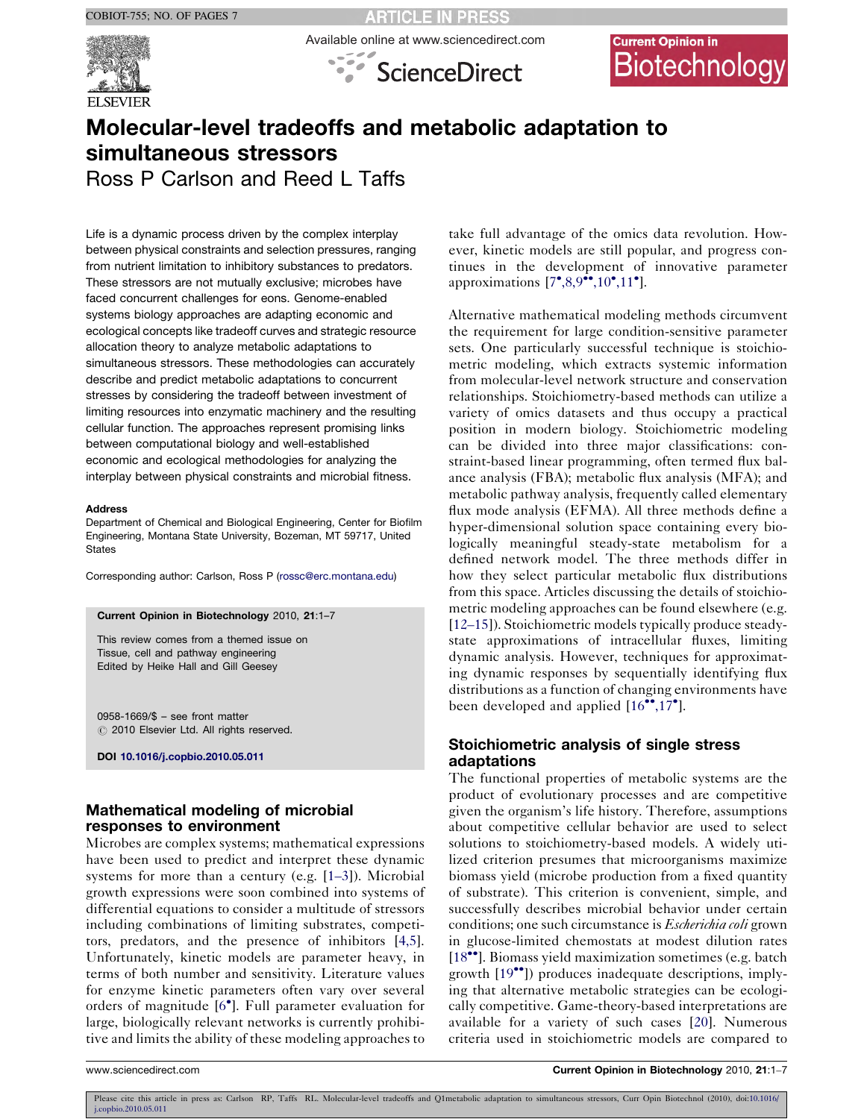

**RTICLE IN PRESS** Available online at www.sciencedirect.com



# **Current Opinion in** Biotechnology

# Molecular-level tradeoffs and metabolic adaptation to simultaneous stressors

Ross P Carlson and Reed L Taffs

Life is a dynamic process driven by the complex interplay between physical constraints and selection pressures, ranging from nutrient limitation to inhibitory substances to predators. These stressors are not mutually exclusive; microbes have faced concurrent challenges for eons. Genome-enabled systems biology approaches are adapting economic and ecological concepts like tradeoff curves and strategic resource allocation theory to analyze metabolic adaptations to simultaneous stressors. These methodologies can accurately describe and predict metabolic adaptations to concurrent stresses by considering the tradeoff between investment of limiting resources into enzymatic machinery and the resulting cellular function. The approaches represent promising links between computational biology and well-established economic and ecological methodologies for analyzing the interplay between physical constraints and microbial fitness.

#### Address

Department of Chemical and Biological Engineering, Center for Biofilm Engineering, Montana State University, Bozeman, MT 59717, United **States** 

Corresponding author: Carlson, Ross P [\(rossc@erc.montana.edu](mailto:rossc@erc.montana.edu))

#### Current Opinion in Biotechnology 2010, 21:1–7

This review comes from a themed issue on Tissue, cell and pathway engineering Edited by Heike Hall and Gill Geesey

0958-1669/\$ – see front matter  $\oslash$  2010 Elsevier Ltd. All rights reserved.

DOI [10.1016/j.copbio.2010.05.011](http://dx.doi.org/10.1016/j.copbio.2010.05.011)

# Mathematical modeling of microbial responses to environment

Microbes are complex systems; mathematical expressions have been used to predict and interpret these dynamic systems for more than a century (e.g. [\[1](#page-4-0)–3]). Microbial growth expressions were soon combined into systems of differential equations to consider a multitude of stressors including combinations of limiting substrates, competitors, predators, and the presence of inhibitors [[4,5](#page-4-0)]. Unfortunately, kinetic models are parameter heavy, in terms of both number and sensitivity. Literature values for enzyme kinetic parameters often vary over several orders of magnitude [\[6](#page-4-0)<sup>°</sup>]. Full parameter evaluation for large, biologically relevant networks is currently prohibitive and limits the ability of these modeling approaches to

take full advantage of the omics data revolution. However, kinetic models are still popular, and progress continues in the development of innovative parameter approximations [[7](#page-4-0)°[,8,9](#page-4-0)°°[,10](#page-4-0)°[,11](#page-4-0)°].

Alternative mathematical modeling methods circumvent the requirement for large condition-sensitive parameter sets. One particularly successful technique is stoichiometric modeling, which extracts systemic information from molecular-level network structure and conservation relationships. Stoichiometry-based methods can utilize a variety of omics datasets and thus occupy a practical position in modern biology. Stoichiometric modeling can be divided into three major classifications: constraint-based linear programming, often termed flux balance analysis (FBA); metabolic flux analysis (MFA); and metabolic pathway analysis, frequently called elementary flux mode analysis (EFMA). All three methods define a hyper-dimensional solution space containing every biologically meaningful steady-state metabolism for a defined network model. The three methods differ in how they select particular metabolic flux distributions from this space. Articles discussing the details of stoichiometric modeling approaches can be found elsewhere (e.g. [12–[15](#page-4-0)]). Stoichiometric models typically produce steadystate approximations of intracellular fluxes, limiting dynamic analysis. However, techniques for approximating dynamic responses by sequentially identifying flux distributions as a function of changing environments have been developed and applied  $[16^{\bullet\bullet}, 17^{\bullet}]$  $[16^{\bullet\bullet}, 17^{\bullet}]$ .

# Stoichiometric analysis of single stress adaptations

The functional properties of metabolic systems are the product of evolutionary processes and are competitive given the organism's life history. Therefore, assumptions about competitive cellular behavior are used to select solutions to stoichiometry-based models. A widely utilized criterion presumes that microorganisms maximize biomass yield (microbe production from a fixed quantity of substrate). This criterion is convenient, simple, and successfully describes microbial behavior under certain conditions; one such circumstance is *Escherichia coli* grown in glucose-limited chemostats at modest dilution rates [[18](#page-5-0)<sup>\*\*</sup>]. Biomass yield maximization sometimes (e.g. batch growth [\[19](#page-5-0)<sup>••</sup>]) produces inadequate descriptions, implying that alternative metabolic strategies can be ecologically competitive. Game-theory-based interpretations are available for a variety of such cases [\[20](#page-5-0)]. Numerous criteria used in stoichiometric models are compared to

Please cite this article in press as: Carlson RP, Taffs RL. Molecular-level tradeoffs and Q1metabolic adaptation to simultaneous stressors, Curr Opin Biotechnol (2010), doi[:10.1016/](http://dx.doi.org/10.1016/j.copbio.2010.05.011)<br>[j.copbio.2010.05.011](http://dx.doi.org/10.1016/j.copbio.2010.05.011)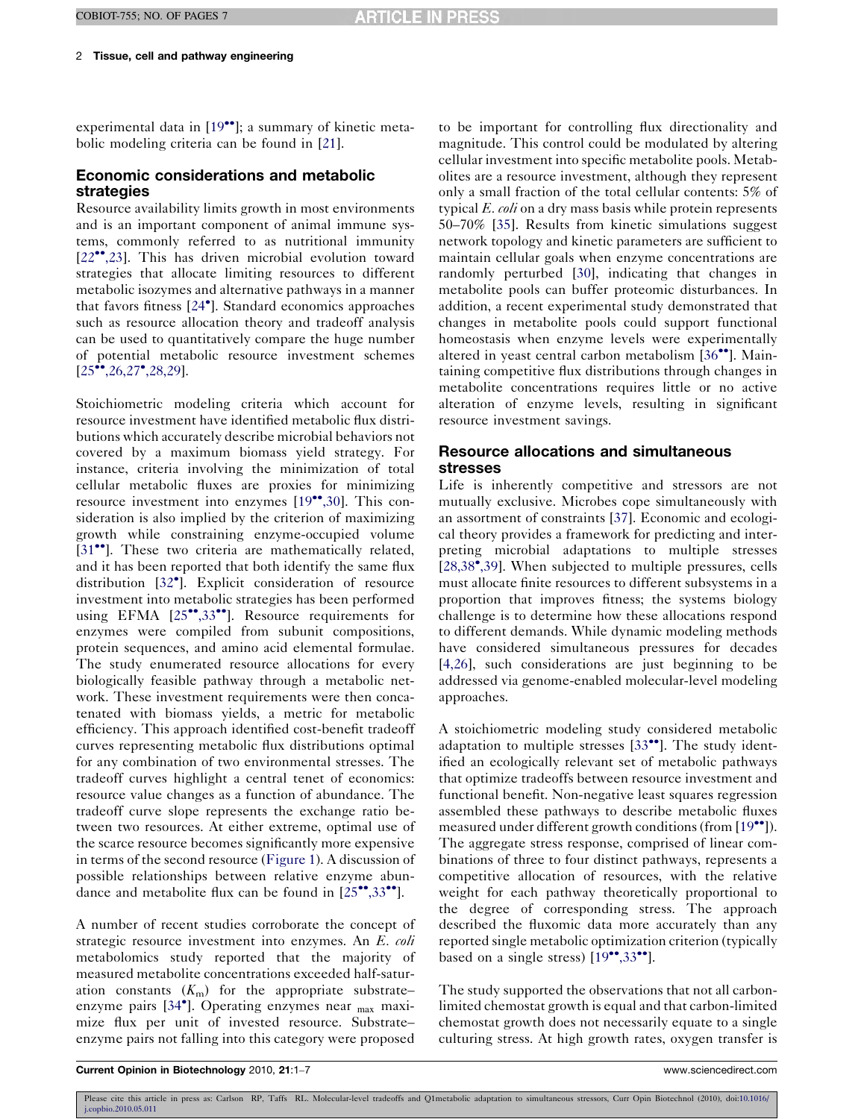experimental data in [\[19](#page-5-0)\*\*]; a summary of kinetic metabolic modeling criteria can be found in [[21\]](#page-5-0).

## Economic considerations and metabolic strategies

Resource availability limits growth in most environments and is an important component of animal immune systems, commonly referred to as nutritional immunity [\[22](#page-5-0)<sup>••</sup>[,23](#page-5-0)]. This has driven microbial evolution toward strategies that allocate limiting resources to different metabolic isozymes and alternative pathways in a manner that favors fitness [[24](#page-5-0)- ]. Standard economics approaches such as resource allocation theory and tradeoff analysis can be used to quantitatively compare the huge number of potential metabolic resource investment schemes  $[25\text{...}, 26, 27\text{...}, 28, 29].$  $[25\text{...}, 26, 27\text{...}, 28, 29].$ 

Stoichiometric modeling criteria which account for resource investment have identified metabolic flux distributions which accurately describe microbial behaviors not covered by a maximum biomass yield strategy. For instance, criteria involving the minimization of total cellular metabolic fluxes are proxies for minimizing resource investment into enzymes [\[19](#page-5-0)\*[,30](#page-5-0)]. This consideration is also implied by the criterion of maximizing growth while constraining enzyme-occupied volume [\[31](#page-5-0)<sup>••</sup>]. These two criteria are mathematically related, and it has been reported that both identify the same flux distribution [\[32](#page-5-0)°]. Explicit consideration of resource investment into metabolic strategies has been performed using EFMA [\[25](#page-5-0)"[,33](#page-5-0)"]. Resource requirements for enzymes were compiled from subunit compositions, protein sequences, and amino acid elemental formulae. The study enumerated resource allocations for every biologically feasible pathway through a metabolic network. These investment requirements were then concatenated with biomass yields, a metric for metabolic efficiency. This approach identified cost-benefit tradeoff curves representing metabolic flux distributions optimal for any combination of two environmental stresses. The tradeoff curves highlight a central tenet of economics: resource value changes as a function of abundance. The tradeoff curve slope represents the exchange ratio between two resources. At either extreme, optimal use of the scarce resource becomes significantly more expensive in terms of the second resource ([Figure 1\)](#page-2-0). A discussion of possible relationships between relative enzyme abundance and metabolite flux can be found in  $[25\text{''}^{\bullet}, 33\text{''}^{\bullet}]$  $[25\text{''}^{\bullet}, 33\text{''}^{\bullet}]$  $[25\text{''}^{\bullet}, 33\text{''}^{\bullet}]$ .

A number of recent studies corroborate the concept of strategic resource investment into enzymes. An E. coli metabolomics study reported that the majority of measured metabolite concentrations exceeded half-saturation constants  $(K<sub>m</sub>)$  for the appropriate substrate– enzyme pairs [[34](#page-5-0)<sup>\*</sup>]. Operating enzymes near <sub>max</sub> maximize flux per unit of invested resource. Substrate– enzyme pairs not falling into this category were proposed

to be important for controlling flux directionality and magnitude. This control could be modulated by altering cellular investment into specific metabolite pools. Metabolites are a resource investment, although they represent only a small fraction of the total cellular contents: 5% of typical E. coli on a dry mass basis while protein represents 50–70% [\[35](#page-5-0)]. Results from kinetic simulations suggest network topology and kinetic parameters are sufficient to maintain cellular goals when enzyme concentrations are randomly perturbed [\[30](#page-5-0)], indicating that changes in metabolite pools can buffer proteomic disturbances. In addition, a recent experimental study demonstrated that changes in metabolite pools could support functional homeostasis when enzyme levels were experimentally altered in yeast central carbon metabolism [\[36](#page-5-0)<sup>••</sup>]. Maintaining competitive flux distributions through changes in metabolite concentrations requires little or no active alteration of enzyme levels, resulting in significant resource investment savings.

# Resource allocations and simultaneous stresses

Life is inherently competitive and stressors are not mutually exclusive. Microbes cope simultaneously with an assortment of constraints [\[37](#page-5-0)]. Economic and ecological theory provides a framework for predicting and interpreting microbial adaptations to multiple stresses [\[28,38](#page-5-0)<sup>\*</sup>[,39](#page-5-0)]. When subjected to multiple pressures, cells must allocate finite resources to different subsystems in a proportion that improves fitness; the systems biology challenge is to determine how these allocations respond to different demands. While dynamic modeling methods have considered simultaneous pressures for decades [\[4,26\]](#page-4-0), such considerations are just beginning to be addressed via genome-enabled molecular-level modeling approaches.

A stoichiometric modeling study considered metabolic adaptation to multiple stresses  $[33$  $[33$ <sup>\*\*</sup>]. The study identified an ecologically relevant set of metabolic pathways that optimize tradeoffs between resource investment and functional benefit. Non-negative least squares regression assembled these pathways to describe metabolic fluxes measured under different growth conditions (from [[19](#page-5-0)\*']). The aggregate stress response, comprised of linear combinations of three to four distinct pathways, represents a competitive allocation of resources, with the relative weight for each pathway theoretically proportional to the degree of corresponding stress. The approach described the fluxomic data more accurately than any reported single metabolic optimization criterion (typically based on a single stress)  $[19$  $[19$ <sup>\*\*</sup>[,33](#page-5-0)<sup>\*\*</sup>].

The study supported the observations that not all carbonlimited chemostat growth is equal and that carbon-limited chemostat growth does not necessarily equate to a single culturing stress. At high growth rates, oxygen transfer is

Current Opinion in Biotechnology 2010, 21:1–7 www.sciencedirect.com

Please cite this article in press as: Carlson RP, Taffs RL. Molecular-level tradeoffs and Q1metabolic adaptation to simultaneous stressors, Curr Opin Biotechnol (2010), doi[:10.1016/](http://dx.doi.org/10.1016/j.copbio.2010.05.011)<br>[j.copbio.2010.05.011](http://dx.doi.org/10.1016/j.copbio.2010.05.011)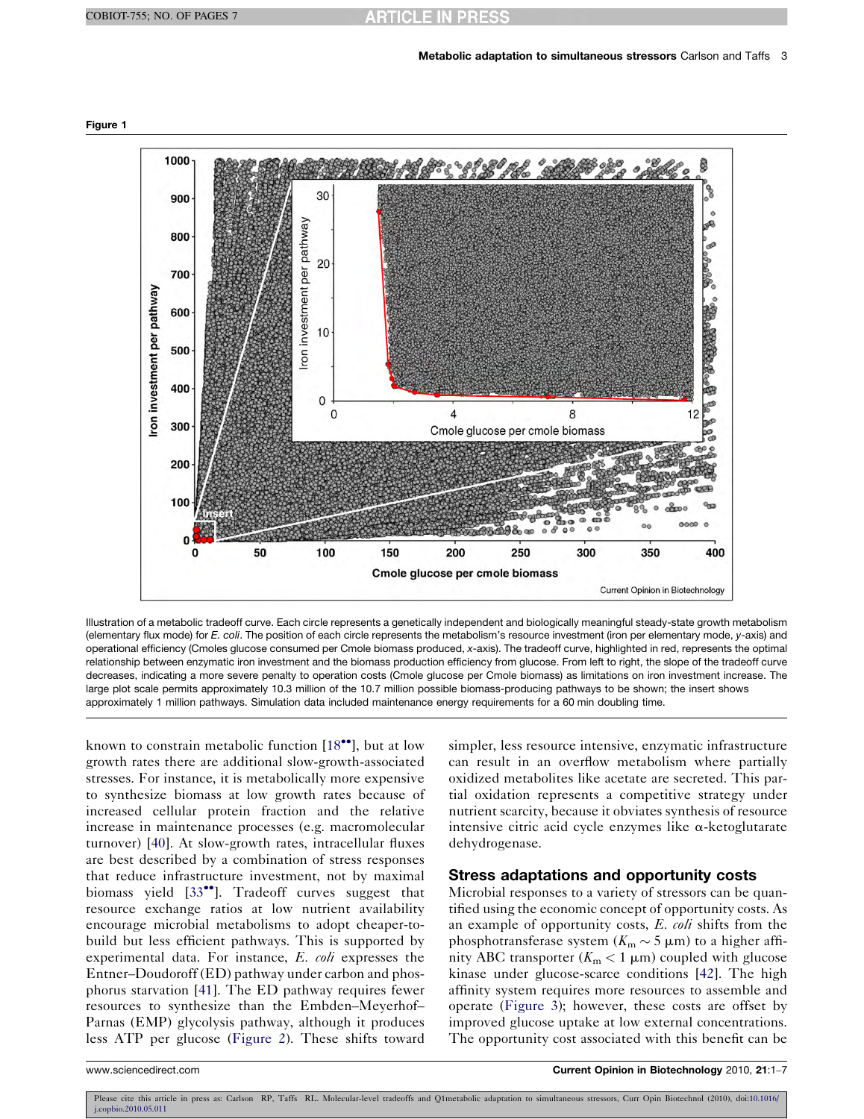

<span id="page-2-0"></span>Figure 1

Illustration of a metabolic tradeoff curve. Each circle represents a genetically independent and biologically meaningful steady-state growth metabolism (elementary flux mode) for E. coli. The position of each circle represents the metabolism's resource investment (iron per elementary mode, y-axis) and operational efficiency (Cmoles glucose consumed per Cmole biomass produced, x-axis). The tradeoff curve, highlighted in red, represents the optimal relationship between enzymatic iron investment and the biomass production efficiency from glucose. From left to right, the slope of the tradeoff curve decreases, indicating a more severe penalty to operation costs (Cmole glucose per Cmole biomass) as limitations on iron investment increase. The large plot scale permits approximately 10.3 million of the 10.7 million possible biomass-producing pathways to be shown; the insert shows approximately 1 million pathways. Simulation data included maintenance energy requirements for a 60 min doubling time.

known to constrain metabolic function [[18](#page-5-0)\*\*], but at low growth rates there are additional slow-growth-associated stresses. For instance, it is metabolically more expensive to synthesize biomass at low growth rates because of increased cellular protein fraction and the relative increase in maintenance processes (e.g. macromolecular turnover) [\[40](#page-5-0)]. At slow-growth rates, intracellular fluxes are best described by a combination of stress responses that reduce infrastructure investment, not by maximal biomass yield [\[33](#page-5-0)<sup>\*</sup>]. Tradeoff curves suggest that resource exchange ratios at low nutrient availability encourage microbial metabolisms to adopt cheaper-tobuild but less efficient pathways. This is supported by experimental data. For instance, E. coli expresses the Entner–Doudoroff (ED) pathway under carbon and phosphorus starvation [[41\]](#page-5-0). The ED pathway requires fewer resources to synthesize than the Embden–Meyerhof– Parnas (EMP) glycolysis pathway, although it produces less ATP per glucose ([Figure 2\)](#page-3-0). These shifts toward

simpler, less resource intensive, enzymatic infrastructure can result in an overflow metabolism where partially oxidized metabolites like acetate are secreted. This partial oxidation represents a competitive strategy under nutrient scarcity, because it obviates synthesis of resource intensive citric acid cycle enzymes like  $\alpha$ -ketoglutarate dehydrogenase.

### Stress adaptations and opportunity costs

Microbial responses to a variety of stressors can be quantified using the economic concept of opportunity costs. As an example of opportunity costs, E. coli shifts from the phosphotransferase system ( $K_m \sim 5 \mu m$ ) to a higher affinity ABC transporter ( $K_m < 1 \mu m$ ) coupled with glucose kinase under glucose-scarce conditions [\[42](#page-5-0)]. The high affinity system requires more resources to assemble and operate ([Figure 3\)](#page-4-0); however, these costs are offset by improved glucose uptake at low external concentrations. The opportunity cost associated with this benefit can be

Please cite this article in press as: Carlson RP, Taffs RL. Molecular-level tradeoffs and Q1metabolic adaptation to simultaneous stressors, Curr Opin Biotechnol (2010), doi[:10.1016/](http://dx.doi.org/10.1016/j.copbio.2010.05.011)<br>[j.copbio.2010.05.011](http://dx.doi.org/10.1016/j.copbio.2010.05.011)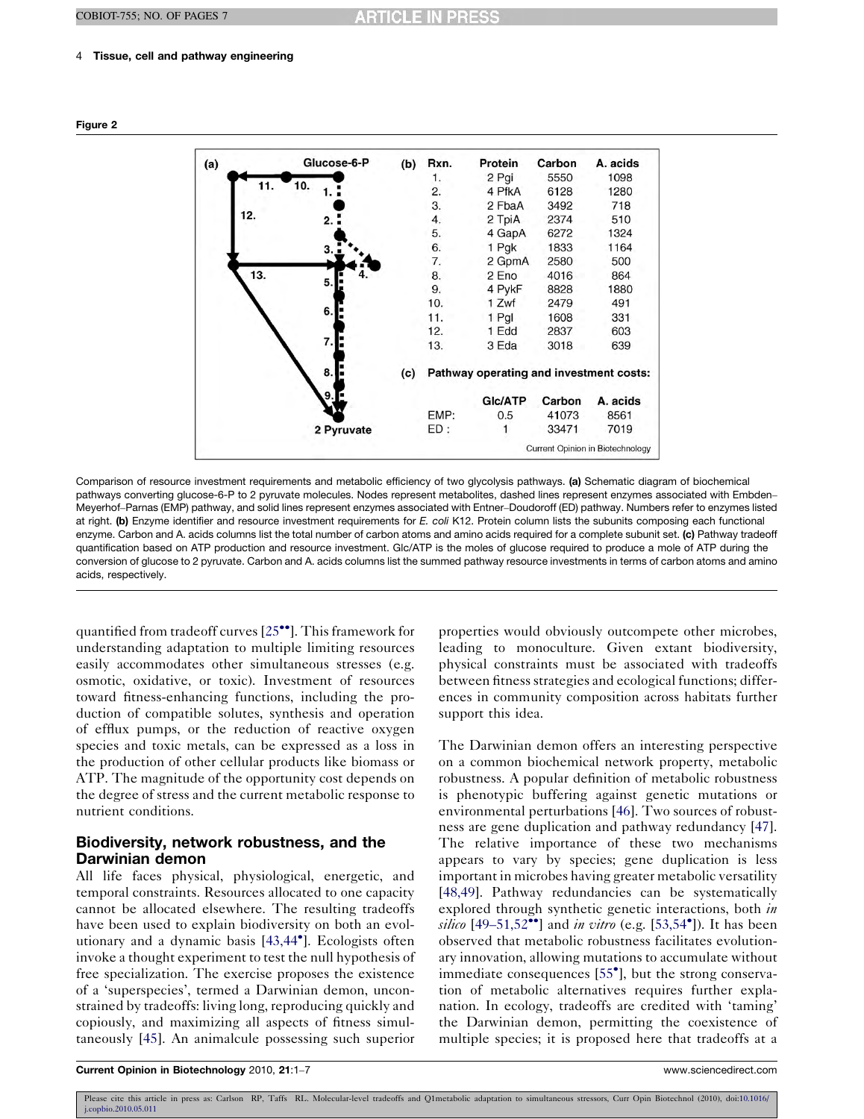### <span id="page-3-0"></span>4 Tissue, cell and pathway engineering



Comparison of resource investment requirements and metabolic efficiency of two glycolysis pathways. (a) Schematic diagram of biochemical pathways converting glucose-6-P to 2 pyruvate molecules. Nodes represent metabolites, dashed lines represent enzymes associated with Embden– Meyerhof–Parnas (EMP) pathway, and solid lines represent enzymes associated with Entner–Doudoroff (ED) pathway. Numbers refer to enzymes listed at right. (b) Enzyme identifier and resource investment requirements for E. coli K12. Protein column lists the subunits composing each functional enzyme. Carbon and A. acids columns list the total number of carbon atoms and amino acids required for a complete subunit set. (c) Pathway tradeoff quantification based on ATP production and resource investment. Glc/ATP is the moles of glucose required to produce a mole of ATP during the conversion of glucose to 2 pyruvate. Carbon and A. acids columns list the summed pathway resource investments in terms of carbon atoms and amino acids, respectively.

quantified from tradeoff curves [\[25](#page-5-0)<sup>••</sup>]. This framework for understanding adaptation to multiple limiting resources easily accommodates other simultaneous stresses (e.g. osmotic, oxidative, or toxic). Investment of resources toward fitness-enhancing functions, including the production of compatible solutes, synthesis and operation of efflux pumps, or the reduction of reactive oxygen species and toxic metals, can be expressed as a loss in the production of other cellular products like biomass or ATP. The magnitude of the opportunity cost depends on the degree of stress and the current metabolic response to nutrient conditions.

# Biodiversity, network robustness, and the Darwinian demon

All life faces physical, physiological, energetic, and temporal constraints. Resources allocated to one capacity cannot be allocated elsewhere. The resulting tradeoffs have been used to explain biodiversity on both an evolutionary and a dynamic basis [[43,44](#page-5-0)- ]. Ecologists often invoke a thought experiment to test the null hypothesis of free specialization. The exercise proposes the existence of a 'superspecies', termed a Darwinian demon, unconstrained by tradeoffs: living long, reproducing quickly and copiously, and maximizing all aspects of fitness simultaneously [[45\]](#page-5-0). An animalcule possessing such superior

properties would obviously outcompete other microbes, leading to monoculture. Given extant biodiversity, physical constraints must be associated with tradeoffs between fitness strategies and ecological functions; differences in community composition across habitats further support this idea.

The Darwinian demon offers an interesting perspective on a common biochemical network property, metabolic robustness. A popular definition of metabolic robustness is phenotypic buffering against genetic mutations or environmental perturbations [\[46](#page-5-0)]. Two sources of robustness are gene duplication and pathway redundancy [[47](#page-5-0)]. The relative importance of these two mechanisms appears to vary by species; gene duplication is less important in microbes having greater metabolic versatility [\[48,49\]](#page-5-0). Pathway redundancies can be systematically explored through synthetic genetic interactions, both in silico  $[49-51,52$  $[49-51,52$ <sup>\*\*</sup>] and in vitro (e.g.  $[53,54^{\bullet}]$  $[53,54^{\bullet}]$  $[53,54^{\bullet}]$ ). It has been observed that metabolic robustness facilitates evolutionary innovation, allowing mutations to accumulate without immediate consequences [[55](#page-6-0)<sup>°</sup>], but the strong conservation of metabolic alternatives requires further explanation. In ecology, tradeoffs are credited with 'taming' the Darwinian demon, permitting the coexistence of multiple species; it is proposed here that tradeoffs at a

Figure 2

Please cite this article in press as: Carlson RP, Taffs RL. Molecular-level tradeoffs and Q1metabolic adaptation to simultaneous stressors, Curr Opin Biotechnol (2010), doi[:10.1016/](http://dx.doi.org/10.1016/j.copbio.2010.05.011) [j.copbio.2010.05.011](http://dx.doi.org/10.1016/j.copbio.2010.05.011)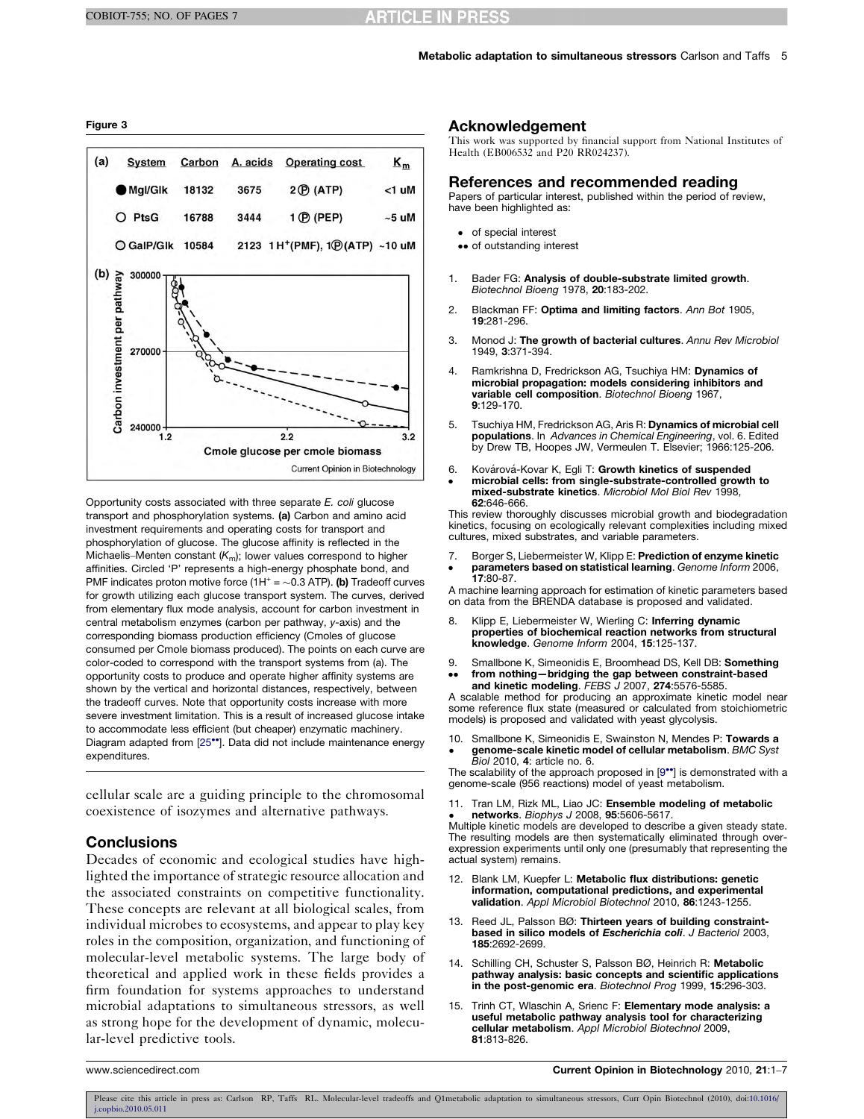#### <span id="page-4-0"></span>Figure 3



Opportunity costs associated with three separate E. coli glucose transport and phosphorylation systems. (a) Carbon and amino acid investment requirements and operating costs for transport and phosphorylation of glucose. The glucose affinity is reflected in the Michaelis–Menten constant  $(K_m)$ ; lower values correspond to higher affinities. Circled 'P' represents a high-energy phosphate bond, and PMF indicates proton motive force  $(1H^+ = \sim 0.3$  ATP). (b) Tradeoff curves for growth utilizing each glucose transport system. The curves, derived from elementary flux mode analysis, account for carbon investment in central metabolism enzymes (carbon per pathway, y-axis) and the corresponding biomass production efficiency (Cmoles of glucose consumed per Cmole biomass produced). The points on each curve are color-coded to correspond with the transport systems from (a). The opportunity costs to produce and operate higher affinity systems are shown by the vertical and horizontal distances, respectively, between the tradeoff curves. Note that opportunity costs increase with more severe investment limitation. This is a result of increased glucose intake to accommodate less efficient (but cheaper) enzymatic machinery. Diagram adapted from [[25](#page-5-0)\*\*]. Data did not include maintenance energy expenditures.

cellular scale are a guiding principle to the chromosomal coexistence of isozymes and alternative pathways.

## **Conclusions**

Decades of economic and ecological studies have highlighted the importance of strategic resource allocation and the associated constraints on competitive functionality. These concepts are relevant at all biological scales, from individual microbes to ecosystems, and appear to play key roles in the composition, organization, and functioning of molecular-level metabolic systems. The large body of theoretical and applied work in these fields provides a firm foundation for systems approaches to understand microbial adaptations to simultaneous stressors, as well as strong hope for the development of dynamic, molecular-level predictive tools.

### Acknowledgement

This work was supported by financial support from National Institutes of Health (EB006532 and P20 RR024237).

#### References and recommended reading

Papers of particular interest, published within the period of review, have been highlighted as:

- of special interest
- •• of outstanding interest
- 1. Bader FG: Analysis of double-substrate limited growth. Biotechnol Bioeng 1978, 20:183-202.
- 2. Blackman FF: Optima and limiting factors. Ann Bot 1905, 19:281-296.
- 3. Monod J: The growth of bacterial cultures. Annu Rev Microbiol 1949, 3:371-394.
- 4. Ramkrishna D, Fredrickson AG, Tsuchiya HM: Dynamics of microbial propagation: models considering inhibitors and variable cell composition. Biotechnol Bioeng 1967, 9:129-170.
- 5. Tsuchiya HM, Fredrickson AG, Aris R: Dynamics of microbial cell populations. In Advances in Chemical Engineering, vol. 6. Edited by Drew TB, Hoopes JW, Vermeulen T. Elsevier; 1966:125-206.
- 6. -Kovárová-Kovar K, Egli T: Growth kinetics of suspended microbial cells: from single-substrate-controlled growth to mixed-substrate kinetics. Microbiol Mol Biol Rev 1998, 62:646-666.

This review thoroughly discusses microbial growth and biodegradation kinetics, focusing on ecologically relevant complexities including mixed cultures, mixed substrates, and variable parameters.

- 7. Borger S, Liebermeister W, Klipp E: Prediction of enzyme kinetic
- **parameters based on statistical learning**. Genome Inform 2006,<br>**17**:80-87.

A machine learning approach for estimation of kinetic parameters based on data from the BRENDA database is proposed and validated.

- 8. Klipp E, Liebermeister W, Wierling C: Inferring dynamic properties of biochemical reaction networks from structural knowledge. Genome Inform 2004, 15:125-137.
- 9.  $\bullet \bullet$ Smallbone K, Simeonidis E, Broomhead DS, Kell DB: Something from nothing—bridging the gap between constraint-based and kinetic modeling. FEBS J 2007, 274:5576-5585.

A scalable method for producing an approximate kinetic model near some reference flux state (measured or calculated from stoichiometric models) is proposed and validated with yeast glycolysis.

10. -Smallbone K, Simeonidis E, Swainston N, Mendes P: Towards a **genome-scale kinetic model of cellular metabolism**. *BMC Syst*<br>*Biol 2*010, **4**: article no. 6.

The scalability of the approach proposed in [9\*\*] is demonstrated with a genome-scale (956 reactions) model of yeast metabolism.

11. Tran LM, Rizk ML, Liao JC: Ensemble modeling of metabolic networks. Biophys J 2008, 95:5606-5617.

**networks**. Biophys J 2008, 95:5606-5617.<br>Multiple kinetic models are developed to describe a given steady state. The resulting models are then systematically eliminated through overexpression experiments until only one (presumably that representing the actual system) remains.

- 12. Blank LM, Kuepfer L: Metabolic flux distributions: genetic information, computational predictions, and experimental validation. Appl Microbiol Biotechnol 2010, 86:1243-1255.
- 13. Reed JL, Palsson BØ: Thirteen years of building constraintbased in silico models of Escherichia coli. J Bacteriol 2003, 185:2692-2699.
- 14. Schilling CH, Schuster S, Palsson BØ, Heinrich R: Metabolic pathway analysis: basic concepts and scientific applications in the post-genomic era. Biotechnol Prog 1999, 15:296-303.
- 15. Trinh CT, Wlaschin A, Srienc F: Elementary mode analysis: a useful metabolic pathway analysis tool for characterizing cellular metabolism. Appl Microbiol Biotechnol 2009, 81:813-826.

www.sciencedirect.com **Current Opinion in Biotechnology** 2010, 21:1–7

Please cite this article in press as: Carlson RP, Taffs RL. Molecular-level tradeoffs and Q1metabolic adaptation to simultaneous stressors, Curr Opin Biotechnol (2010), doi[:10.1016/](http://dx.doi.org/10.1016/j.copbio.2010.05.011) [j.copbio.2010.05.011](http://dx.doi.org/10.1016/j.copbio.2010.05.011)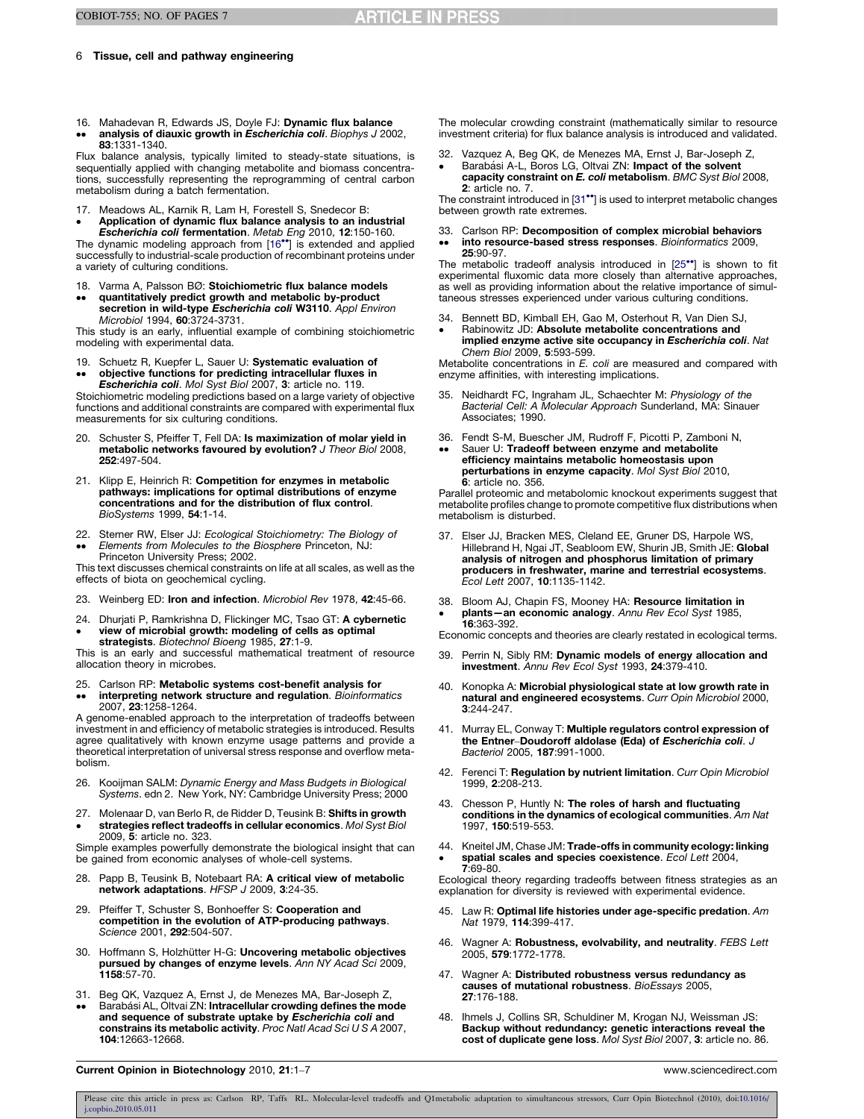#### <span id="page-5-0"></span>6 Tissue, cell and pathway engineering

16. Mahadevan R, Edwards JS, Doyle FJ: Dynamic flux balance  $\bullet\bullet$ analysis of diauxic growth in Escherichia coli. Biophys J 2002, 83:1331-1340.

Flux balance analysis, typically limited to steady-state situations, is sequentially applied with changing metabolite and biomass concentrations, successfully representing the reprogramming of central carbon metabolism during a batch fermentation.

17. Meadows AL, Karnik R, Lam H, Forestell S, Snedecor B: Application of dynamic flux balance analysis to an industrial

• Application of dynamic flux balance analysis to an industrial<br>Escherichia coli fermentation. Metab Eng 2010, 12:150-160.<br>The dynamic modeling approach from [16\*\*] is extended and applied

successfully to industrial-scale production of recombinant proteins under a variety of culturing conditions.

- 18. Varma A, Palsson BØ: Stoichiometric flux balance models
- $\bullet$  $\bullet$ quantitatively predict growth and metabolic by-product secretion in wild-type Escherichia coli W3110. Appl Environ Microbiol 1994, 60:3724-3731.

This study is an early, influential example of combining stoichiometric modeling with experimental data.

19. Schuetz R, Kuepfer L, Sauer U: Systematic evaluation of objective functions for predicting intracellular fluxes in

 $\bullet\bullet$ Escherichia coli. Mol Syst Biol 2007, 3: article no. 119.<br>Stoichiometric modeling predictions based on a large variety of objective functions and additional constraints are compared with experimental flux measurements for six culturing conditions.

- 20. Schuster S, Pfeiffer T, Fell DA: Is maximization of molar yield in metabolic networks favoured by evolution? J Theor Biol 2008, 252:497-504.
- 21. Klipp E, Heinrich R: Competition for enzymes in metabolic pathways: implications for optimal distributions of enzyme concentrations and for the distribution of flux control. BioSystems 1999, 54:1-14.
- 22. Sterner RW, Elser JJ: Ecological Stoichiometry: The Biology of
- $\bullet$  $\bullet$ Elements from Molecules to the Biosphere Princeton, NJ: Princeton University Press; 2002.

This text discusses chemical constraints on life at all scales, as well as the effects of biota on geochemical cycling.

- 23. Weinberg ED: Iron and infection. Microbiol Rev 1978, 42:45-66.
- 24. 24. Dhurjati P, Ramkrishna D, Flickinger MC, Tsao GT: **A cybernetic**<br>• view of microbial growth: modeling of cells as optimal<br>**strategists**. Biotechnol Bioeng 1985, **27**:1-9.

This is an early and successful mathematical treatment of resource allocation theory in microbes.

- 25. Carlson RP: Metabolic systems cost-benefit analysis for
- $\bullet$  $\bullet$ **interpreting network structure and regulation**. *Bioinformatics*<br>2007, **23**:1258-1264.

A genome-enabled approach to the interpretation of tradeoffs between investment in and efficiency of metabolic strategies is introduced. Results agree qualitatively with known enzyme usage patterns and provide a theoretical interpretation of universal stress response and overflow metabolism.

- 26. Kooijman SALM: Dynamic Energy and Mass Budgets in Biological Systems. edn 2. New York, NY: Cambridge University Press; 2000
- 27.  $\bullet$ Molenaar D, van Berlo R, de Ridder D, Teusink B: Shifts in growth strategies reflect tradeoffs in cellular economics. Mol Syst Biol 2009, 5: article no. 323.

Simple examples powerfully demonstrate the biological insight that can be gained from economic analyses of whole-cell systems.

- 28. Papp B, Teusink B, Notebaart RA: A critical view of metabolic network adaptations. HFSP J 2009, 3:24-35.
- 29. Pfeiffer T, Schuster S, Bonhoeffer S: Cooperation and competition in the evolution of ATP-producing pathways. Science 2001, 292:504-507.
- 30. Hoffmann S, Holzhütter H-G: Uncovering metabolic objectives pursued by changes of enzyme levels. Ann NY Acad Sci 2009, 1158:57-70.
- 31. Beg QK, Vazquez A, Ernst J, de Menezes MA, Bar-Joseph Z,
- $\bullet$  $\bullet$ Barabási AL, Oltvai ZN: Intracellular crowding defines the mode and sequence of substrate uptake by Escherichia coli and constrains its metabolic activity. Proc Natl Acad Sci U S A 2007, 104:12663-12668.

The molecular crowding constraint (mathematically similar to resource investment criteria) for flux balance analysis is introduced and validated.

- 32. 32. Vazquez A, Beg QK, de Menezes MA, Ernst J, Bar-Joseph Z,<br>• Barabási A-L, Boros LG, Oltvai ZN: **Impact of the solvent**
- capacity constraint on E. coli metabolism. BMC Syst Biol 2008, 2: article no. 7.

The constraint introduced in [31\*\*] is used to interpret metabolic changes between growth rate extremes.

#### 33.  $\bullet$ Carlson RP: Decomposition of complex microbial behaviors into resource-based stress responses. Bioinformatics 2009, 25:90-97.

The metabolic tradeoff analysis introduced in [25\*'] is shown to fit experimental fluxomic data more closely than alternative approaches, as well as providing information about the relative importance of simultaneous stresses experienced under various culturing conditions.

- 34. Bennett BD, Kimball EH, Gao M, Osterhout R, Van Dien SJ,
- -Rabinowitz JD: Absolute metabolite concentrations and implied enzyme active site occupancy in Escherichia coli. Nat Chem Biol 2009, 5:593-599.

Metabolite concentrations in E. coli are measured and compared with enzyme affinities, with interesting implications.

- 35. Neidhardt FC, Ingraham JL, Schaechter M: Physiology of the Bacterial Cell: A Molecular Approach Sunderland, MA: Sinauer Associates; 1990.
- 36. Fendt S-M, Buescher JM, Rudroff F, Picotti P, Zamboni N,  $\bullet$ Sauer U: Tradeoff between enzyme and metabolite efficiency maintains metabolic homeostasis upon perturbations in enzyme capacity. Mol Syst Biol 2010,

6: article no. 356. Parallel proteomic and metabolomic knockout experiments suggest that metabolite profiles change to promote competitive flux distributions when metabolism is disturbed.

- Elser JJ, Bracken MES, Cleland EE, Gruner DS, Harpole WS, Hillebrand H, Ngai JT, Seabloom EW, Shurin JB, Smith JE: Global analysis of nitrogen and phosphorus limitation of primary producers in freshwater, marine and terrestrial ecosystems. Ecol Lett 2007, 10:1135-1142.
- 38. 38. Bloom AJ, Chapin FS, Mooney HA: **Resource limitation in**<br>• **plants—an economic analogy**. Annu Rev Ecol Syst 1985, 16:363-392.

Economic concepts and theories are clearly restated in ecological terms.

- 39. Perrin N, Sibly RM: Dynamic models of energy allocation and investment. Annu Rev Ecol Syst 1993, 24:379-410.
- 40. Konopka A: Microbial physiological state at low growth rate in natural and engineered ecosystems. Curr Opin Microbiol 2000, 3:244-247.
- 41. Murray EL, Conway T: Multiple regulators control expression of the Entner–Doudoroff aldolase (Eda) of Escherichia coli. J Bacteriol 2005, 187:991-1000.
- 42. Ferenci T: Regulation by nutrient limitation. Curr Opin Microbiol 1999, 2:208-213.
- 43. Chesson P, Huntly N: The roles of harsh and fluctuating conditions in the dynamics of ecological communities. Am Nat 1997, 150:519-553.
- 44. Kneitel JM, Chase JM: Trade-offs in community ecology: linking spatial scales and species coexistence. Ecol Lett 2004, 7:69-80.

Ecological theory regarding tradeoffs between fitness strategies as an explanation for diversity is reviewed with experimental evidence.

- 45. Law R: Optimal life histories under age-specific predation. Am Nat 1979, 114:399-417.
- 46. Wagner A: Robustness, evolvability, and neutrality. FEBS Lett 2005, 579:1772-1778.
- 47. Wagner A: Distributed robustness versus redundancy as causes of mutational robustness. BioEssays 2005, 27:176-188.
- 48. Ihmels J, Collins SR, Schuldiner M, Krogan NJ, Weissman JS: Backup without redundancy: genetic interactions reveal the cost of duplicate gene loss. Mol Syst Biol 2007, 3: article no. 86.

Current Opinion in Biotechnology 2010, 21:1–7 www.sciencedirect.com